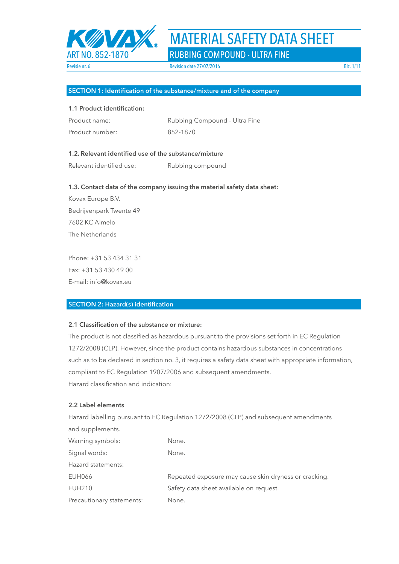

ART NO. 852-1870 RUBBING COMPOUND - ULTRA FINE

### **SECTION 1: Identification of the substance/mixture and of the company**

## **1.1 Product identification:**

| Product name:   | Rubbing Compound - Ultra Fine |
|-----------------|-------------------------------|
| Product number: | 852-1870                      |

## **1.2. Relevant identified use of the substance/mixture**

Relevant identified use: Rubbing compound

#### **1.3. Contact data of the company issuing the material safety data sheet:**

Kovax Europe B.V. Bedrijvenpark Twente 49 7602 KC Almelo The Netherlands

Phone: +31 53 434 31 31 Fax: +31 53 430 49 00 E-mail: info@kovax.eu

## **SECTION 2: Hazard(s) identification**

### **2.1 Classification of the substance or mixture:**

The product is not classified as hazardous pursuant to the provisions set forth in EC Regulation 1272/2008 (CLP). However, since the product contains hazardous substances in concentrations such as to be declared in section no. 3, it requires a safety data sheet with appropriate information, compliant to EC Regulation 1907/2006 and subsequent amendments. Hazard classification and indication:

## **2.2 Label elements**

Hazard labelling pursuant to EC Regulation 1272/2008 (CLP) and subsequent amendments and supplements. Warning symbols: None. Signal words: None. Hazard statements: EUH066 Repeated exposure may cause skin dryness or cracking. EUH210 Safety data sheet available on request. Precautionary statements: None.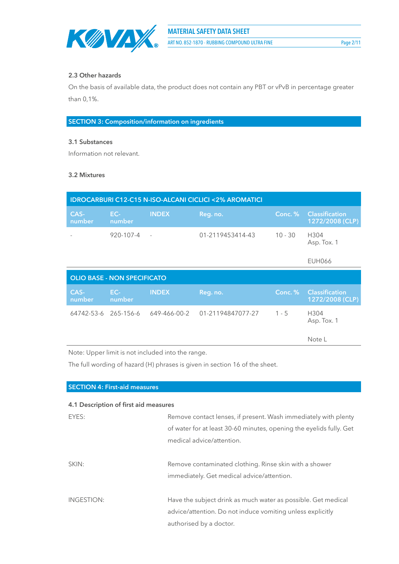

## **2.3 Other hazards**

On the basis of available data, the product does not contain any PBT or vPvB in percentage greater than 0,1%.

**SECTION 3: Composition/information on ingredients**

## **3.1 Substances**

Information not relevant.

#### **3.2 Mixtures**

| <b>IDROCARBURI C12-C15 N-ISO-ALCANI CICLICI &lt;2% AROMATICI</b> |                                    |              |                   |           |                                          |
|------------------------------------------------------------------|------------------------------------|--------------|-------------------|-----------|------------------------------------------|
| CAS-<br>number                                                   | $EC-$<br>number                    | <b>INDEX</b> | Reg. no.          | Conc. %   | <b>Classification</b><br>1272/2008 (CLP) |
|                                                                  | $920 - 107 - 4$                    |              | 01-2119453414-43  | $10 - 30$ | H304<br>Asp. Tox. 1                      |
|                                                                  |                                    |              |                   |           | <b>EUH066</b>                            |
|                                                                  |                                    |              |                   |           |                                          |
|                                                                  | <b>OLIO BASE - NON SPECIFICATO</b> |              |                   |           |                                          |
| CAS-<br>number                                                   | EC-<br>number                      | <b>INDEX</b> | Reg. no.          | Conc. %   | <b>Classification</b><br>1272/2008 (CLP) |
| 64742-53-6 265-156-6                                             |                                    | 649-466-00-2 | 01-21194847077-27 | $1 - 5$   | H304<br>Asp. Tox. 1                      |

Note: Upper limit is not included into the range.

The full wording of hazard (H) phrases is given in section 16 of the sheet.

| 4.1 Description of first aid measures                               |
|---------------------------------------------------------------------|
| Remove contact lenses, if present. Wash immediately with plenty     |
| of water for at least 30-60 minutes, opening the eyelids fully. Get |
| medical advice/attention.                                           |
|                                                                     |
| Remove contaminated clothing. Rinse skin with a shower              |
| immediately. Get medical advice/attention.                          |
|                                                                     |
| Have the subject drink as much water as possible. Get medical       |
| advice/attention. Do not induce vomiting unless explicitly          |
| authorised by a doctor.                                             |
|                                                                     |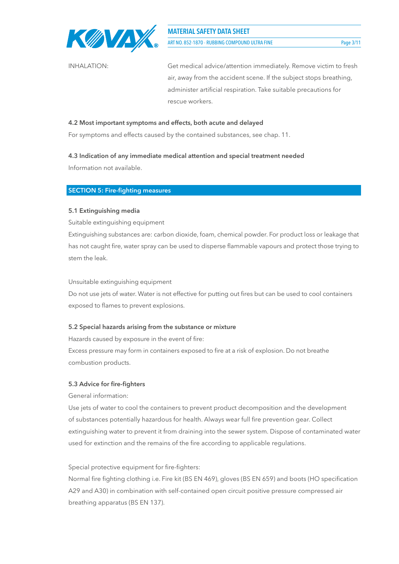

ART NO. 852-1870 - RUBBING COMPOUND ULTRA FINE Page 3/11

INHALATION: Get medical advice/attention immediately. Remove victim to fresh air, away from the accident scene. If the subject stops breathing, administer artificial respiration. Take suitable precautions for rescue workers.

## **4.2 Most important symptoms and effects, both acute and delayed**

For symptoms and effects caused by the contained substances, see chap. 11.

## **4.3 Indication of any immediate medical attention and special treatment needed**

Information not available.

## **SECTION 5: Fire-fighting measures**

## **5.1 Extinguishing media**

Suitable extinguishing equipment

Extinguishing substances are: carbon dioxide, foam, chemical powder. For product loss or leakage that has not caught fire, water spray can be used to disperse flammable vapours and protect those trying to stem the leak.

Unsuitable extinguishing equipment

Do not use jets of water. Water is not effective for putting out fires but can be used to cool containers exposed to flames to prevent explosions.

## **5.2 Special hazards arising from the substance or mixture**

Hazards caused by exposure in the event of fire:

Excess pressure may form in containers exposed to fire at a risk of explosion. Do not breathe combustion products.

## **5.3 Advice for fire-fighters**

General information:

Use jets of water to cool the containers to prevent product decomposition and the development of substances potentially hazardous for health. Always wear full fire prevention gear. Collect extinguishing water to prevent it from draining into the sewer system. Dispose of contaminated water used for extinction and the remains of the fire according to applicable regulations.

## Special protective equipment for fire-fighters:

Normal fire fighting clothing i.e. Fire kit (BS EN 469), gloves (BS EN 659) and boots (HO specification A29 and A30) in combination with self-contained open circuit positive pressure compressed air breathing apparatus (BS EN 137).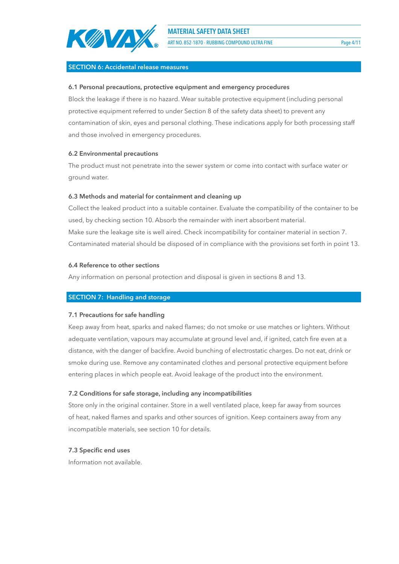

ART NO. 852-1870 - RUBBING COMPOUND ULTRA FINE PAGE 1999 4/11

### **SECTION 6: Accidental release measures**

#### **6.1 Personal precautions, protective equipment and emergency procedures**

Block the leakage if there is no hazard. Wear suitable protective equipment (including personal protective equipment referred to under Section 8 of the safety data sheet) to prevent any contamination of skin, eyes and personal clothing. These indications apply for both processing staff and those involved in emergency procedures.

#### **6.2 Environmental precautions**

The product must not penetrate into the sewer system or come into contact with surface water or ground water.

#### **6.3 Methods and material for containment and cleaning up**

Collect the leaked product into a suitable container. Evaluate the compatibility of the container to be used, by checking section 10. Absorb the remainder with inert absorbent material. Make sure the leakage site is well aired. Check incompatibility for container material in section 7. Contaminated material should be disposed of in compliance with the provisions set forth in point 13.

#### **6.4 Reference to other sections**

Any information on personal protection and disposal is given in sections 8 and 13.

## **SECTION 7: Handling and storage**

#### **7.1 Precautions for safe handling**

Keep away from heat, sparks and naked flames; do not smoke or use matches or lighters. Without adequate ventilation, vapours may accumulate at ground level and, if ignited, catch fire even at a distance, with the danger of backfire. Avoid bunching of electrostatic charges. Do not eat, drink or smoke during use. Remove any contaminated clothes and personal protective equipment before entering places in which people eat. Avoid leakage of the product into the environment.

#### **7.2 Conditions for safe storage, including any incompatibilities**

Store only in the original container. Store in a well ventilated place, keep far away from sources of heat, naked flames and sparks and other sources of ignition. Keep containers away from any incompatible materials, see section 10 for details.

#### **7.3 Specific end uses**

Information not available.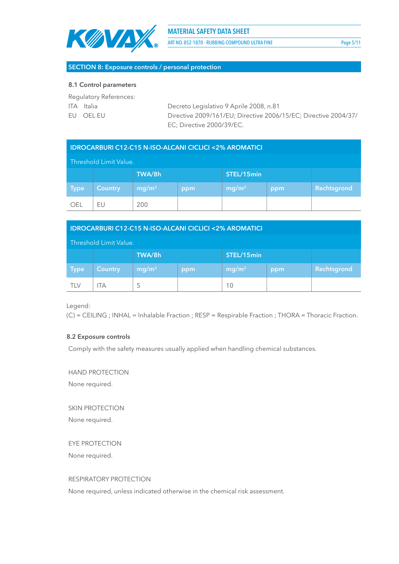

ART NO. 852-1870 - RUBBING COMPOUND ULTRA FINE PAGE 1998 FOR Page 5/11

## **SECTION 8: Exposure controls / personal protection**

#### **8.1 Control parameters**

Regulatory References:

ITA Italia Decreto Legislativo 9 Aprile 2008, n.81 EU OEL EU Directive 2009/161/EU; Directive 2006/15/EC; Directive 2004/37/ EC; Directive 2000/39/EC.

| <b>IDROCARBURI C12-C15 N-ISO-ALCANI CICLICI &lt;2% AROMATICI</b> |                |                   |     |                   |     |             |
|------------------------------------------------------------------|----------------|-------------------|-----|-------------------|-----|-------------|
| Threshold Limit Value.                                           |                |                   |     |                   |     |             |
|                                                                  |                | TWA/8h            |     | STEL/15min        |     |             |
| <b>Type</b>                                                      | <b>Country</b> | mg/m <sup>3</sup> | ppm | mg/m <sup>3</sup> | ppm | Rechtsgrond |
| <b>OEL</b>                                                       | EU             | 200               |     |                   |     |             |

| <b>IDROCARBURI C12-C15 N-ISO-ALCANI CICLICI &lt;2% AROMATICI</b> |                |                   |     |                   |     |             |
|------------------------------------------------------------------|----------------|-------------------|-----|-------------------|-----|-------------|
| Threshold Limit Value.                                           |                |                   |     |                   |     |             |
|                                                                  |                | TWA/8h            |     | STEL/15min        |     |             |
| <b>Type</b>                                                      | <b>Country</b> | mg/m <sup>3</sup> | ppm | mg/m <sup>3</sup> | ppm | Rechtsgrond |
| TI V                                                             | IΤA            | 5                 |     | 10                |     |             |

Legend:

(C) = CEILING ; INHAL = Inhalable Fraction ; RESP = Respirable Fraction ; THORA = Thoracic Fraction.

## **8.2 Exposure controls**

Comply with the safety measures usually applied when handling chemical substances.

HAND PROTECTION

None required.

SKIN PROTECTION None required.

EYE PROTECTION None required.

## RESPIRATORY PROTECTION

None required, unless indicated otherwise in the chemical risk assessment.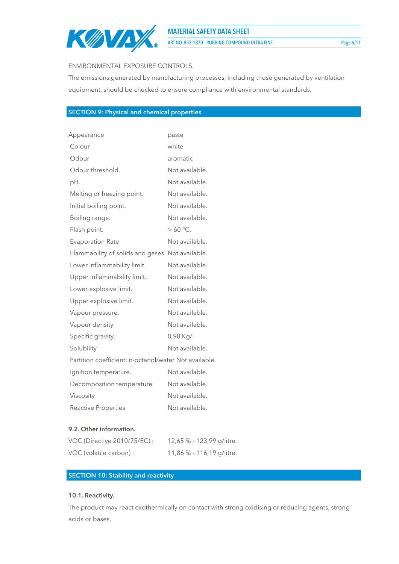

ART NO. 852-1870 - RUBBING COMPOUND ULTRA FINE Page 6/11

#### ENVIRONMENTAL EXPOSURE CONTROLS.

The emissions generated by manufacturing processes, including those generated by ventilation equipment, should be checked to ensure compliance with environmental standards.

# **SECTION 9: Physical and chemical properties**

| Appearance                                            | paste          |
|-------------------------------------------------------|----------------|
| Colour                                                | white          |
| Odour                                                 | aromatic       |
| Odour threshold.                                      | Not available. |
| pH.                                                   | Not available. |
| Melting or freezing point.                            | Not available. |
| Initial boiling point.                                | Not available. |
| Boiling range.                                        | Not available. |
| Flash point.                                          | $> 60 °C$ .    |
| <b>Evaporation Rate</b>                               | Not available. |
| Flammability of solids and gases                      | Not available. |
| Lower inflammability limit.                           | Not available. |
| Upper inflammability limit.                           | Not available. |
| Lower explosive limit.                                | Not available. |
| Upper explosive limit.                                | Not available. |
| Vapour pressure.                                      | Not available. |
| Vapour density                                        | Not available. |
| Specific gravity.                                     | 0,98 Kg/l      |
| Solubility                                            | Not available. |
| Partition coefficient: n-octanol/water Not available. |                |
| Ignition temperature.                                 | Not available. |
| Decomposition temperature.                            | Not available. |
| Viscosity                                             | Not available. |
| Reactive Properties                                   | Not available. |

#### **9.2. Other information.**

| VOC (Directive 2010/75/EC): | 12,65 % - 123,99 g/litre. |
|-----------------------------|---------------------------|
| VOC (volatile carbon) :     | 11,86 % - 116,19 g/litre. |

## **SECTION 10: Stability and reactivity**

## **10.1. Reactivity.**

The product may react exothermically on contact with strong oxidising or reducing agents, strong acids or bases.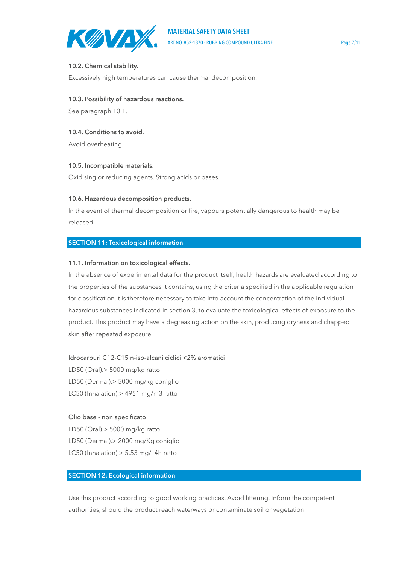

# **10.2. Chemical stability.**

Excessively high temperatures can cause thermal decomposition.

# **10.3. Possibility of hazardous reactions.**

See paragraph 10.1.

# **10.4. Conditions to avoid.**

Avoid overheating.

# **10.5. Incompatible materials.**

Oxidising or reducing agents. Strong acids or bases.

# **10.6. Hazardous decomposition products.**

In the event of thermal decomposition or fire, vapours potentially dangerous to health may be released.

# **SECTION 11: Toxicological information**

# **11.1. Information on toxicological effects.**

In the absence of experimental data for the product itself, health hazards are evaluated according to the properties of the substances it contains, using the criteria specified in the applicable regulation for classification.It is therefore necessary to take into account the concentration of the individual hazardous substances indicated in section 3, to evaluate the toxicological effects of exposure to the product. This product may have a degreasing action on the skin, producing dryness and chapped skin after repeated exposure.

Idrocarburi C12-C15 n-iso-alcani ciclici <2% aromatici

LD50 (Oral).> 5000 mg/kg ratto LD50 (Dermal).> 5000 mg/kg coniglio LC50 (Inhalation).> 4951 mg/m3 ratto

# Olio base - non specificato

LD50 (Oral).> 5000 mg/kg ratto LD50 (Dermal).> 2000 mg/Kg coniglio LC50 (Inhalation).> 5,53 mg/l 4h ratto

# **SECTION 12: Ecological information**

Use this product according to good working practices. Avoid littering. Inform the competent authorities, should the product reach waterways or contaminate soil or vegetation.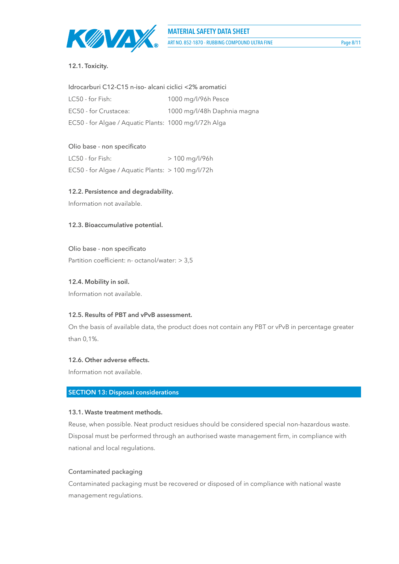

## **12.1. Toxicity.**

| Idrocarburi C12-C15 n-iso- alcani ciclici <2% aromatici |                             |  |
|---------------------------------------------------------|-----------------------------|--|
| LC50 - for Fish:                                        | 1000 mg/l/96h Pesce         |  |
| EC50 - for Crustacea:                                   | 1000 mg/l/48h Daphnia magna |  |
| EC50 - for Algae / Aquatic Plants: 1000 mg/l/72h Alga   |                             |  |

## Olio base - non specificato

| LC50 - for Fish:                                  | $> 100$ mg/l/96h |
|---------------------------------------------------|------------------|
| EC50 - for Algae / Aquatic Plants: > 100 mg/l/72h |                  |

#### **12.2. Persistence and degradability.**

Information not available.

#### **12.3. Bioaccumulative potential.**

Olio base - non specificato Partition coefficient: n- octanol/water: > 3,5

#### **12.4. Mobility in soil.**

Information not available.

## **12.5. Results of PBT and vPvB assessment.**

On the basis of available data, the product does not contain any PBT or vPvB in percentage greater than 0,1%.

#### **12.6. Other adverse effects.**

Information not available.

## **SECTION 13: Disposal considerations**

#### **13.1. Waste treatment methods.**

Reuse, when possible. Neat product residues should be considered special non-hazardous waste. Disposal must be performed through an authorised waste management firm, in compliance with national and local regulations.

## Contaminated packaging

Contaminated packaging must be recovered or disposed of in compliance with national waste management regulations.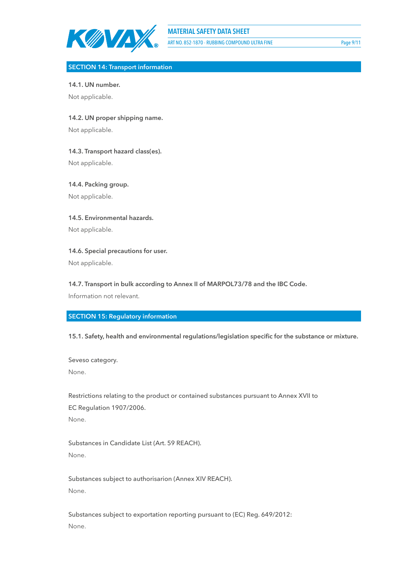

ART NO. 852-1870 - RUBBING COMPOUND ULTRA FINE Page 9/11

#### **SECTION 14: Transport information**

**14.1. UN number.**

Not applicable.

**14.2. UN proper shipping name.**

Not applicable.

**14.3. Transport hazard class(es).**

Not applicable.

**14.4. Packing group.** Not applicable.

**14.5. Environmental hazards.** Not applicable.

**14.6. Special precautions for user.**

Not applicable.

**14.7. Transport in bulk according to Annex II of MARPOL73/78 and the IBC Code.**

Information not relevant.

**SECTION 15: Regulatory information**

**15.1. Safety, health and environmental regulations/legislation specific for the substance or mixture.**

Seveso category. None.

Restrictions relating to the product or contained substances pursuant to Annex XVII to EC Regulation 1907/2006.

None.

Substances in Candidate List (Art. 59 REACH). None.

Substances subject to authorisarion (Annex XIV REACH). None.

Substances subject to exportation reporting pursuant to (EC) Reg. 649/2012: None.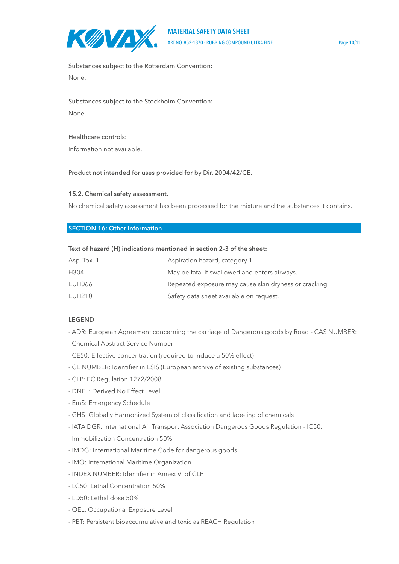

Substances subject to the Rotterdam Convention: None.

# Substances subject to the Stockholm Convention: None.

#### Healthcare controls:

Information not available.

#### Product not intended for uses provided for by Dir. 2004/42/CE.

#### **15.2. Chemical safety assessment.**

No chemical safety assessment has been processed for the mixture and the substances it contains.

#### **SECTION 16: Other information**

### **Text of hazard (H) indications mentioned in section 2-3 of the sheet:**

| Asp. Tox. 1   | Aspiration hazard, category 1                         |
|---------------|-------------------------------------------------------|
| H304          | May be fatal if swallowed and enters airways.         |
| EUH066        | Repeated exposure may cause skin dryness or cracking. |
| <b>EUH210</b> | Safety data sheet available on request.               |

#### **LEGEND**

- ADR: European Agreement concerning the carriage of Dangerous goods by Road CAS NUMBER: Chemical Abstract Service Number
- CE50: Effective concentration (required to induce a 50% effect)
- CE NUMBER: Identifier in ESIS (European archive of existing substances)
- CLP: EC Regulation 1272/2008
- DNEL: Derived No Effect Level
- EmS: Emergency Schedule
- GHS: Globally Harmonized System of classification and labeling of chemicals
- IATA DGR: International Air Transport Association Dangerous Goods Regulation IC50: Immobilization Concentration 50%
- IMDG: International Maritime Code for dangerous goods
- IMO: International Maritime Organization
- INDEX NUMBER: Identifier in Annex VI of CLP
- LC50: Lethal Concentration 50%
- LD50: Lethal dose 50%
- OEL: Occupational Exposure Level
- PBT: Persistent bioaccumulative and toxic as REACH Regulation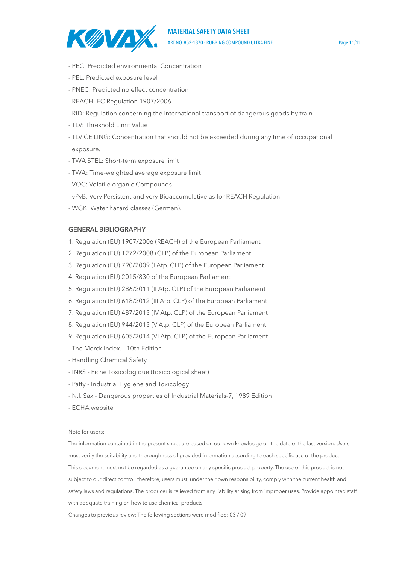

ART NO. 852-1870 - RUBBING COMPOUND ULTRA FINE Page 11/11

- PEC: Predicted environmental Concentration
- PEL: Predicted exposure level
- PNEC: Predicted no effect concentration
- REACH: EC Regulation 1907/2006
- RID: Regulation concerning the international transport of dangerous goods by train
- TLV: Threshold Limit Value
- TLV CEILING: Concentration that should not be exceeded during any time of occupational exposure.
- TWA STEL: Short-term exposure limit
- TWA: Time-weighted average exposure limit
- VOC: Volatile organic Compounds
- vPvB: Very Persistent and very Bioaccumulative as for REACH Regulation
- WGK: Water hazard classes (German).

#### **GENERAL BIBLIOGRAPHY**

- 1. Regulation (EU) 1907/2006 (REACH) of the European Parliament
- 2. Regulation (EU) 1272/2008 (CLP) of the European Parliament
- 3. Regulation (EU) 790/2009 (I Atp. CLP) of the European Parliament
- 4. Regulation (EU) 2015/830 of the European Parliament
- 5. Regulation (EU) 286/2011 (II Atp. CLP) of the European Parliament
- 6. Regulation (EU) 618/2012 (III Atp. CLP) of the European Parliament
- 7. Regulation (EU) 487/2013 (IV Atp. CLP) of the European Parliament
- 8. Regulation (EU) 944/2013 (V Atp. CLP) of the European Parliament
- 9. Regulation (EU) 605/2014 (VI Atp. CLP) of the European Parliament
- The Merck Index. 10th Edition
- Handling Chemical Safety
- INRS Fiche Toxicologique (toxicological sheet)
- Patty Industrial Hygiene and Toxicology
- N.I. Sax Dangerous properties of Industrial Materials-7, 1989 Edition
- ECHA website

Note for users:

The information contained in the present sheet are based on our own knowledge on the date of the last version. Users must verify the suitability and thoroughness of provided information according to each specific use of the product. This document must not be regarded as a guarantee on any specific product property. The use of this product is not subject to our direct control; therefore, users must, under their own responsibility, comply with the current health and safety laws and regulations. The producer is relieved from any liability arising from improper uses. Provide appointed staff with adequate training on how to use chemical products.

Changes to previous review: The following sections were modified: 03 / 09.